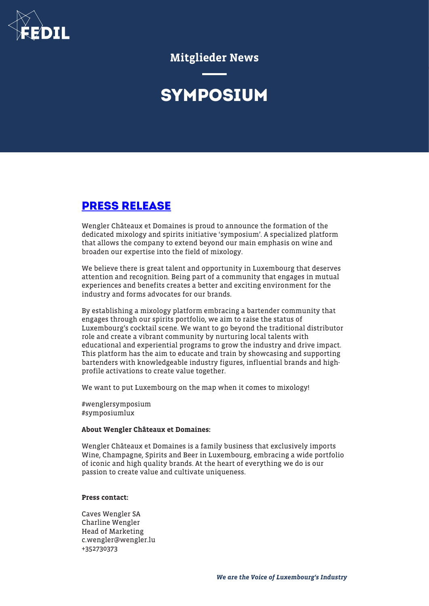

Mitglieder News

# **SYMPOSIUM**

## **[PRESS RELEASE](https://fedil.lu/wp-content/uploads/2020/07/Symposium_Press-Release_Affiche_EN.pdf)**

Wengler Châteaux et Domaines is proud to announce the formation of the dedicated mixology and spirits initiative 'symposium'. A specialized platform that allows the company to extend beyond our main emphasis on wine and broaden our expertise into the field of mixology.

We believe there is great talent and opportunity in Luxembourg that deserves attention and recognition. Being part of a community that engages in mutual experiences and benefits creates a better and exciting environment for the industry and forms advocates for our brands.

By establishing a mixology platform embracing a bartender community that engages through our spirits portfolio, we aim to raise the status of Luxembourg's cocktail scene. We want to go beyond the traditional distributor role and create a vibrant community by nurturing local talents with educational and experiential programs to grow the industry and drive impact. This platform has the aim to educate and train by showcasing and supporting bartenders with knowledgeable industry figures, influential brands and highprofile activations to create value together.

We want to put Luxembourg on the map when it comes to mixology!

#wenglersymposium #symposiumlux

#### About Wengler Châteaux et Domaines:

Wengler Châteaux et Domaines is a family business that exclusively imports Wine, Champagne, Spirits and Beer in Luxembourg, embracing a wide portfolio of iconic and high quality brands. At the heart of everything we do is our passion to create value and cultivate uniqueness.

#### Press contact:

Caves Wengler SA Charline Wengler Head of Marketing c.wengler@wengler.lu +352730373